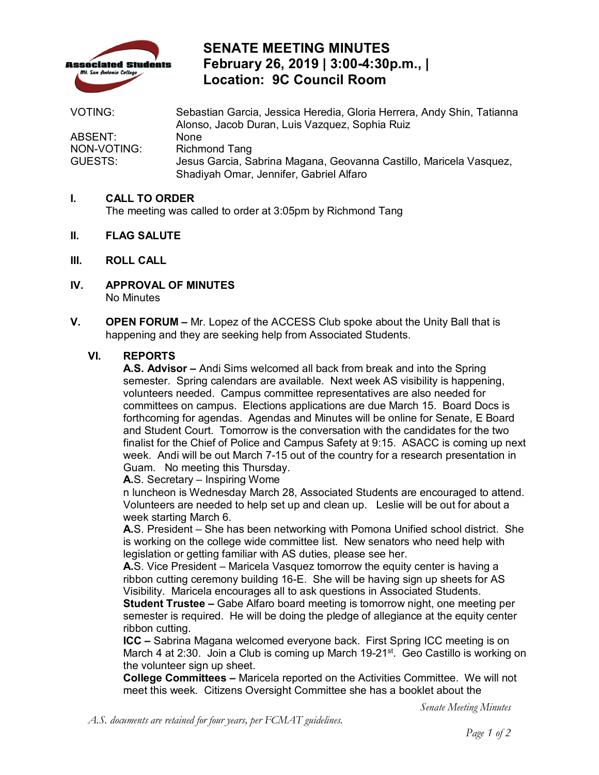

# **SENATE MEETING MINUTES February 26, 2019 | 3:00-4:30p.m., | Location: 9C Council Room**

| <b>VOTING:</b> | Sebastian Garcia, Jessica Heredia, Gloria Herrera, Andy Shin, Tatianna |
|----------------|------------------------------------------------------------------------|
|                | Alonso, Jacob Duran, Luis Vazquez, Sophia Ruiz                         |
| ABSENT:        | <b>None</b>                                                            |
| NON-VOTING:    | <b>Richmond Tang</b>                                                   |
| GUESTS:        | Jesus Garcia, Sabrina Magana, Geovanna Castillo, Maricela Vasquez,     |
|                | Shadiyah Omar, Jennifer, Gabriel Alfaro                                |

#### **I. CALL TO ORDER**

The meeting was called to order at 3:05pm by Richmond Tang

- **II. FLAG SALUTE**
- **III. ROLL CALL**
- **IV. APPROVAL OF MINUTES**  No Minutes
- **V. OPEN FORUM** Mr. Lopez of the ACCESS Club spoke about the Unity Ball that is happening and they are seeking help from Associated Students.

#### **VI. REPORTS**

 semester. Spring calendars are available. Next week AS visibility is happening, committees on campus. Elections applications are due March 15. Board Docs is forthcoming for agendas. Agendas and Minutes will be online for Senate, E Board finalist for the Chief of Police and Campus Safety at 9:15. ASACC is coming up next week. Andi will be out March 7-15 out of the country for a research presentation in **A.S. Advisor –** Andi Sims welcomed all back from break and into the Spring volunteers needed. Campus committee representatives are also needed for and Student Court. Tomorrow is the conversation with the candidates for the two Guam. No meeting this Thursday.

**A.**S. Secretary – Inspiring Wome

 Volunteers are needed to help set up and clean up. Leslie will be out for about a n luncheon is Wednesday March 28, Associated Students are encouraged to attend. week starting March 6.

 legislation or getting familiar with AS duties, please see her. **A.**S. President – She has been networking with Pomona Unified school district. She is working on the college wide committee list. New senators who need help with

 ribbon cutting ceremony building 16-E. She will be having sign up sheets for AS Visibility. Maricela encourages all to ask questions in Associated Students. **A.**S. Vice President – Maricela Vasquez tomorrow the equity center is having a

 semester is required. He will be doing the pledge of allegiance at the equity center **Student Trustee –** Gabe Alfaro board meeting is tomorrow night, one meeting per ribbon cutting.

March 4 at 2:30. Join a Club is coming up March 19-21<sup>st</sup>. Geo Castillo is working on the volunteer sign up sheet. **ICC –** Sabrina Magana welcomed everyone back. First Spring ICC meeting is on

 **College Committees –** Maricela reported on the Activities Committee. We will not meet this week. Citizens Oversight Committee she has a booklet about the

*Senate Meeting Minutes*